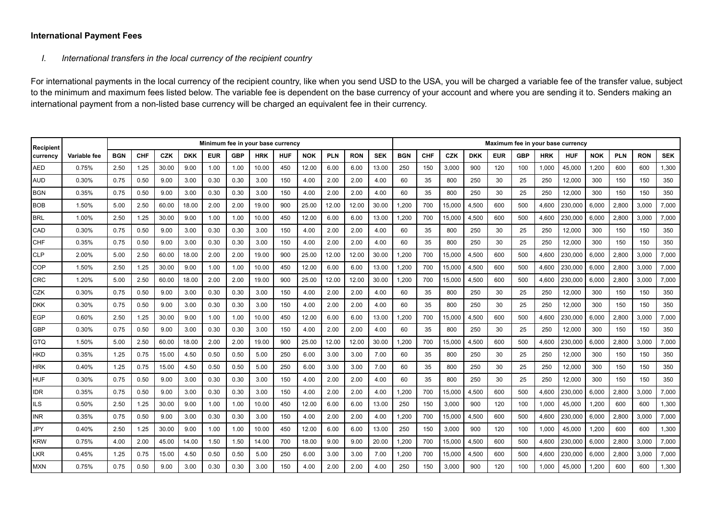## **International Payment Fees**

## *I. International transfers in the local currency of the recipient country*

For international payments in the local currency of the recipient country, like when you send USD to the USA, you will be charged a variable fee of the transfer value, subject to the minimum and maximum fees listed below. The variable fee is dependent on the base currency of your account and where you are sending it to. Senders making an international payment from a non-listed base currency will be charged an equivalent fee in their currency.

| Recipient  |              | Minimum fee in your base currency |            |            |            |            |            |            |            |            |            |            |            |            |            |            |            |            |            | Maximum fee in your base currency |            |            |            |            |            |  |  |  |  |  |  |  |
|------------|--------------|-----------------------------------|------------|------------|------------|------------|------------|------------|------------|------------|------------|------------|------------|------------|------------|------------|------------|------------|------------|-----------------------------------|------------|------------|------------|------------|------------|--|--|--|--|--|--|--|
| currency   | Variable fee | <b>BGN</b>                        | <b>CHF</b> | <b>CZK</b> | <b>DKK</b> | <b>EUR</b> | <b>GBP</b> | <b>HRK</b> | <b>HUF</b> | <b>NOK</b> | <b>PLN</b> | <b>RON</b> | <b>SEK</b> | <b>BGN</b> | <b>CHF</b> | <b>CZK</b> | <b>DKK</b> | <b>EUR</b> | <b>GBP</b> | <b>HRK</b>                        | <b>HUF</b> | <b>NOK</b> | <b>PLN</b> | <b>RON</b> | <b>SEK</b> |  |  |  |  |  |  |  |
| <b>AED</b> | 0.75%        | 2.50                              | 1.25       | 30.00      | 9.00       | 1.00       | 1.00       | 10.00      | 450        | 12.00      | 6.00       | 6.00       | 13.00      | 250        | 150        | 3,000      | 900        | 120        | 100        | 1,000                             | 45,000     | 1,200      | 600        | 600        | 1,300      |  |  |  |  |  |  |  |
| AUD        | 0.30%        | 0.75                              | 0.50       | 9.00       | 3.00       | 0.30       | 0.30       | 3.00       | 150        | 4.00       | 2.00       | 2.00       | 4.00       | 60         | 35         | 800        | 250        | 30         | 25         | 250                               | 12,000     | 300        | 150        | 150        | 350        |  |  |  |  |  |  |  |
| <b>BGN</b> | 0.35%        | 0.75                              | 0.50       | 9.00       | 3.00       | 0.30       | 0.30       | 3.00       | 150        | 4.00       | 2.00       | 2.00       | 4.00       | 60         | 35         | 800        | 250        | 30         | 25         | 250                               | 12,000     | 300        | 150        | 150        | 350        |  |  |  |  |  |  |  |
| <b>BOB</b> | 1.50%        | 5.00                              | 2.50       | 60.00      | 18.00      | 2.00       | 2.00       | 19.00      | 900        | 25.00      | 12.00      | 12.00      | 30.00      | 1,200      | 700        | 15,000     | 4,500      | 600        | 500        | 4,600                             | 230,000    | 6,000      | 2,800      | 3,000      | 7,000      |  |  |  |  |  |  |  |
| <b>BRL</b> | 1.00%        | 2.50                              | 1.25       | 30.00      | 9.00       | 1.00       | 1.00       | 10.00      | 450        | 12.00      | 6.00       | 6.00       | 13.00      | 1,200      | 700        | 15,000     | 4,500      | 600        | 500        | 4,600                             | 230,000    | 6,000      | 2,800      | 3,000      | 7,000      |  |  |  |  |  |  |  |
| CAD        | 0.30%        | 0.75                              | 0.50       | 9.00       | 3.00       | 0.30       | 0.30       | 3.00       | 150        | 4.00       | 2.00       | 2.00       | 4.00       | 60         | 35         | 800        | 250        | 30         | 25         | 250                               | 12,000     | 300        | 150        | 150        | 350        |  |  |  |  |  |  |  |
| <b>CHF</b> | 0.35%        | 0.75                              | 0.50       | 9.00       | 3.00       | 0.30       | 0.30       | 3.00       | 150        | 4.00       | 2.00       | 2.00       | 4.00       | 60         | 35         | 800        | 250        | 30         | 25         | 250                               | 12,000     | 300        | 150        | 150        | 350        |  |  |  |  |  |  |  |
| <b>CLP</b> | 2.00%        | 5.00                              | 2.50       | 60.00      | 18.00      | 2.00       | 2.00       | 19.00      | 900        | 25.00      | 12.00      | 12.00      | 30.00      | 1,200      | 700        | 15,000     | 4,500      | 600        | 500        | 4,600                             | 230,000    | 6,000      | 2,800      | 3,000      | 7,000      |  |  |  |  |  |  |  |
| <b>COP</b> | 1.50%        | 2.50                              | 1.25       | 30.00      | 9.00       | 1.00       | 1.00       | 10.00      | 450        | 12.00      | 6.00       | 6.00       | 13.00      | 1,200      | 700        | 15,000     | 4,500      | 600        | 500        | 4,600                             | 230,000    | 6,000      | 2,800      | 3,000      | 7,000      |  |  |  |  |  |  |  |
| <b>CRC</b> | 1.20%        | 5.00                              | 2.50       | 60.00      | 18.00      | 2.00       | 2.00       | 19.00      | 900        | 25.00      | 12.00      | 12.00      | 30.00      | 1.200      | 700        | 15,000     | 4,500      | 600        | 500        | 4.600                             | 230,000    | 6,000      | 2,800      | 3,000      | 7,000      |  |  |  |  |  |  |  |
| <b>CZK</b> | 0.30%        | 0.75                              | 0.50       | 9.00       | 3.00       | 0.30       | 0.30       | 3.00       | 150        | 4.00       | 2.00       | 2.00       | 4.00       | 60         | 35         | 800        | 250        | 30         | 25         | 250                               | 12,000     | 300        | 150        | 150        | 350        |  |  |  |  |  |  |  |
| <b>DKK</b> | 0.30%        | 0.75                              | 0.50       | 9.00       | 3.00       | 0.30       | 0.30       | 3.00       | 150        | 4.00       | 2.00       | 2.00       | 4.00       | 60         | 35         | 800        | 250        | 30         | 25         | 250                               | 12,000     | 300        | 150        | 150        | 350        |  |  |  |  |  |  |  |
| <b>EGP</b> | 0.60%        | 2.50                              | 1.25       | 30.00      | 9.00       | 1.00       | 1.00       | 10.00      | 450        | 12.00      | 6.00       | 6.00       | 13.00      | 1,200      | 700        | 15,000     | 4,500      | 600        | 500        | 4,600                             | 230,000    | 6,000      | 2,800      | 3,000      | 7,000      |  |  |  |  |  |  |  |
| <b>GBP</b> | 0.30%        | 0.75                              | 0.50       | 9.00       | 3.00       | 0.30       | 0.30       | 3.00       | 150        | 4.00       | 2.00       | 2.00       | 4.00       | 60         | 35         | 800        | 250        | 30         | 25         | 250                               | 12,000     | 300        | 150        | 150        | 350        |  |  |  |  |  |  |  |
| <b>GTQ</b> | 1.50%        | 5.00                              | 2.50       | 60.00      | 18.00      | 2.00       | 2.00       | 19.00      | 900        | 25.00      | 12.00      | 12.00      | 30.00      | 1.200      | 700        | 15,000     | 4,500      | 600        | 500        | 4,600                             | 230,000    | 6.000      | 2,800      | 3,000      | 7,000      |  |  |  |  |  |  |  |
| <b>HKD</b> | 0.35%        | 1.25                              | 0.75       | 15.00      | 4.50       | 0.50       | 0.50       | 5.00       | 250        | 6.00       | 3.00       | 3.00       | 7.00       | 60         | 35         | 800        | 250        | 30         | 25         | 250                               | 12,000     | 300        | 150        | 150        | 350        |  |  |  |  |  |  |  |
| <b>HRK</b> | 0.40%        | 1.25                              | 0.75       | 15.00      | 4.50       | 0.50       | 0.50       | 5.00       | 250        | 6.00       | 3.00       | 3.00       | 7.00       | 60         | 35         | 800        | 250        | 30         | 25         | 250                               | 12,000     | 300        | 150        | 150        | 350        |  |  |  |  |  |  |  |
| <b>HUF</b> | 0.30%        | 0.75                              | 0.50       | 9.00       | 3.00       | 0.30       | 0.30       | 3.00       | 150        | 4.00       | 2.00       | 2.00       | 4.00       | 60         | 35         | 800        | 250        | 30         | 25         | 250                               | 12,000     | 300        | 150        | 150        | 350        |  |  |  |  |  |  |  |
| <b>IDR</b> | 0.35%        | 0.75                              | 0.50       | 9.00       | 3.00       | 0.30       | 0.30       | 3.00       | 150        | 4.00       | 2.00       | 2.00       | 4.00       | 1,200      | 700        | 15,000     | 4,500      | 600        | 500        | 4,600                             | 230,000    | 6,000      | 2,800      | 3,000      | 7,000      |  |  |  |  |  |  |  |
| <b>ILS</b> | 0.50%        | 2.50                              | 1.25       | 30.00      | 9.00       | 1.00       | 1.00       | 10.00      | 450        | 12.00      | 6.00       | 6.00       | 13.00      | 250        | 150        | 3,000      | 900        | 120        | 100        | 1,000                             | 45,000     | 1,200      | 600        | 600        | 1,300      |  |  |  |  |  |  |  |
| <b>INR</b> | 0.35%        | 0.75                              | 0.50       | 9.00       | 3.00       | 0.30       | 0.30       | 3.00       | 150        | 4.00       | 2.00       | 2.00       | 4.00       | 1.200      | 700        | 15,000     | 4,500      | 600        | 500        | 4,600                             | 230,000    | 6.000      | 2,800      | 3,000      | 7,000      |  |  |  |  |  |  |  |
| <b>JPY</b> | 0.40%        | 2.50                              | 1.25       | 30.00      | 9.00       | 1.00       | 1.00       | 10.00      | 450        | 12.00      | 6.00       | 6.00       | 13.00      | 250        | 150        | 3,000      | 900        | 120        | 100        | 1,000                             | 45,000     | 1,200      | 600        | 600        | 1,300      |  |  |  |  |  |  |  |
| <b>KRW</b> | 0.75%        | 4.00                              | 2.00       | 45.00      | 14.00      | 1.50       | 1.50       | 14.00      | 700        | 18.00      | 9.00       | 9.00       | 20.00      | 1.200      | 700        | 15,000     | 4,500      | 600        | 500        | 4,600                             | 230,000    | 6,000      | 2,800      | 3,000      | 7,000      |  |  |  |  |  |  |  |
| <b>LKR</b> | 0.45%        | 1.25                              | 0.75       | 15.00      | 4.50       | 0.50       | 0.50       | 5.00       | 250        | 6.00       | 3.00       | 3.00       | 7.00       | 1,200      | 700        | 15,000     | 4,500      | 600        | 500        | 4,600                             | 230,000    | 6,000      | 2,800      | 3,000      | 7,000      |  |  |  |  |  |  |  |
| <b>MXN</b> | 0.75%        | 0.75                              | 0.50       | 9.00       | 3.00       | 0.30       | 0.30       | 3.00       | 150        | 4.00       | 2.00       | 2.00       | 4.00       | 250        | 150        | 3,000      | 900        | 120        | 100        | 1,000                             | 45,000     | 1,200      | 600        | 600        | 1,300      |  |  |  |  |  |  |  |